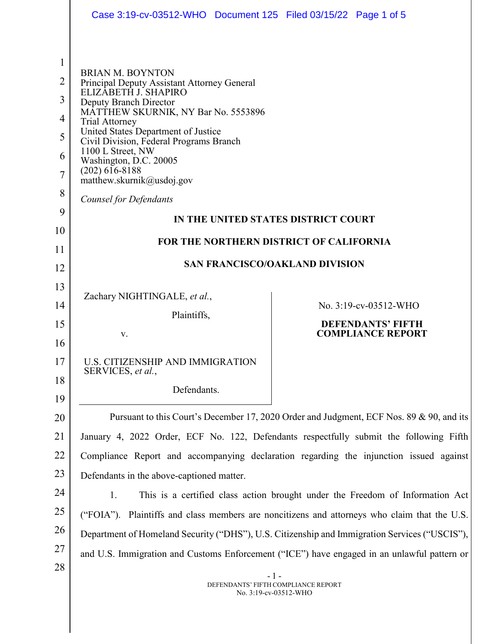|                | Case 3:19-cv-03512-WHO  Document 125  Filed 03/15/22  Page 1 of 5                                                        |                                                                                             |  |
|----------------|--------------------------------------------------------------------------------------------------------------------------|---------------------------------------------------------------------------------------------|--|
|                |                                                                                                                          |                                                                                             |  |
| $\mathbf{1}$   |                                                                                                                          |                                                                                             |  |
| $\overline{2}$ | <b>BRIAN M. BOYNTON</b><br>Principal Deputy Assistant Attorney General<br>ELIZĂBETH J. SHAPIRO<br>Deputy Branch Director |                                                                                             |  |
| 3              |                                                                                                                          |                                                                                             |  |
| 4              | MATTHEW SKURNIK, NY Bar No. 5553896<br><b>Trial Attorney</b>                                                             |                                                                                             |  |
| 5              | United States Department of Justice<br>Civil Division, Federal Programs Branch                                           |                                                                                             |  |
| 6              | 1100 L Street, NW<br>Washington, D.C. 20005                                                                              |                                                                                             |  |
| $\overline{7}$ | $(202)$ 616-8188<br>matthew.skurnik@usdoj.gov                                                                            |                                                                                             |  |
| 8              | <b>Counsel for Defendants</b>                                                                                            |                                                                                             |  |
| 9              | IN THE UNITED STATES DISTRICT COURT                                                                                      |                                                                                             |  |
| 10             | <b>FOR THE NORTHERN DISTRICT OF CALIFORNIA</b>                                                                           |                                                                                             |  |
| 11<br>12       | <b>SAN FRANCISCO/OAKLAND DIVISION</b>                                                                                    |                                                                                             |  |
| 13             |                                                                                                                          |                                                                                             |  |
| 14             | Zachary NIGHTINGALE, et al.,                                                                                             | No. 3:19-cv-03512-WHO                                                                       |  |
| 15             | Plaintiffs,                                                                                                              | <b>DEFENDANTS' FIFTH</b>                                                                    |  |
| 16             | V.                                                                                                                       | <b>COMPLIANCE REPORT</b>                                                                    |  |
| 17             | U.S. CITIZENSHIP AND IMMIGRATION<br>SERVICES, et al.,                                                                    |                                                                                             |  |
| 18             | Defendants.                                                                                                              |                                                                                             |  |
| 19             |                                                                                                                          |                                                                                             |  |
| 20             | Pursuant to this Court's December 17, 2020 Order and Judgment, ECF Nos. 89 & 90, and its                                 |                                                                                             |  |
| 21             | January 4, 2022 Order, ECF No. 122, Defendants respectfully submit the following Fifth                                   |                                                                                             |  |
| 22<br>23       | Compliance Report and accompanying declaration regarding the injunction issued against                                   |                                                                                             |  |
| 24             | Defendants in the above-captioned matter.                                                                                |                                                                                             |  |
| 25             | 1.<br>This is a certified class action brought under the Freedom of Information Act                                      |                                                                                             |  |
| 26             | ("FOIA"). Plaintiffs and class members are noncitizens and attorneys who claim that the U.S.                             |                                                                                             |  |
| 27             | Department of Homeland Security ("DHS"), U.S. Citizenship and Immigration Services ("USCIS"),                            |                                                                                             |  |
| 28             |                                                                                                                          | and U.S. Immigration and Customs Enforcement ("ICE") have engaged in an unlawful pattern or |  |
|                | $-1-$<br>DEFENDANTS' FIFTH COMPLIANCE REPORT<br>No. 3:19-cv-03512-WHO                                                    |                                                                                             |  |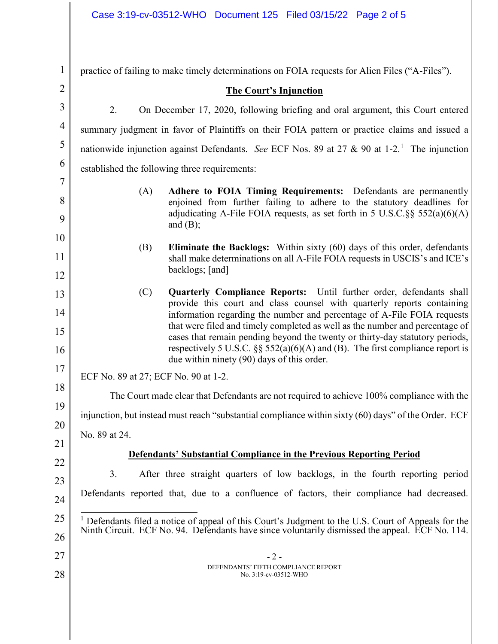| $\mathbf{1}$   | practice of failing to make timely determinations on FOIA requests for Alien Files ("A-Files").                                                                                                                           |  |
|----------------|---------------------------------------------------------------------------------------------------------------------------------------------------------------------------------------------------------------------------|--|
| $\overline{2}$ | <b>The Court's Injunction</b>                                                                                                                                                                                             |  |
| 3              | 2.<br>On December 17, 2020, following briefing and oral argument, this Court entered                                                                                                                                      |  |
| 4              | summary judgment in favor of Plaintiffs on their FOIA pattern or practice claims and issued a                                                                                                                             |  |
| 5              | nationwide injunction against Defendants. See ECF Nos. 89 at 27 & 90 at 1-2. <sup>1</sup> The injunction                                                                                                                  |  |
| 6              | established the following three requirements:                                                                                                                                                                             |  |
| 7              | Adhere to FOIA Timing Requirements: Defendants are permanently<br>(A)                                                                                                                                                     |  |
| 8              | enjoined from further failing to adhere to the statutory deadlines for<br>adjudicating A-File FOIA requests, as set forth in 5 U.S.C. §§ $552(a)(6)(A)$                                                                   |  |
| 9              | and $(B)$ ;                                                                                                                                                                                                               |  |
| 10             | <b>Eliminate the Backlogs:</b> Within sixty (60) days of this order, defendants<br>(B)                                                                                                                                    |  |
| 11             | shall make determinations on all A-File FOIA requests in USCIS's and ICE's<br>backlogs; [and]                                                                                                                             |  |
| 12             |                                                                                                                                                                                                                           |  |
| 13             | Quarterly Compliance Reports: Until further order, defendants shall<br>(C)<br>provide this court and class counsel with quarterly reports containing                                                                      |  |
| 14             | information regarding the number and percentage of A-File FOIA requests<br>that were filed and timely completed as well as the number and percentage of                                                                   |  |
| 15<br>16       | cases that remain pending beyond the twenty or thirty-day statutory periods,<br>respectively 5 U.S.C. $\S$ $\frac{552(a)(6)(A)}{A}$ and (B). The first compliance report is<br>due within ninety (90) days of this order. |  |
| 17             | ECF No. 89 at 27; ECF No. 90 at 1-2.                                                                                                                                                                                      |  |
| 18             | The Court made clear that Defendants are not required to achieve 100% compliance with the                                                                                                                                 |  |
| 19             | injunction, but instead must reach "substantial compliance within sixty (60) days" of the Order. ECF                                                                                                                      |  |
| 20             | No. 89 at 24.                                                                                                                                                                                                             |  |
| 21             | <b>Defendants' Substantial Compliance in the Previous Reporting Period</b>                                                                                                                                                |  |
| 22             | 3.<br>After three straight quarters of low backlogs, in the fourth reporting period                                                                                                                                       |  |
| 23<br>24       | Defendants reported that, due to a confluence of factors, their compliance had decreased.                                                                                                                                 |  |
| 25             |                                                                                                                                                                                                                           |  |
| 26             | <sup>1</sup> Defendants filed a notice of appeal of this Court's Judgment to the U.S. Court of Appeals for the<br>Ninth Circuit. ECF No. 94. Defendants have since voluntarily dismissed the appeal. ECF No. 114.         |  |
| 27             | $-2-$                                                                                                                                                                                                                     |  |
| 28             | DEFENDANTS' FIFTH COMPLIANCE REPORT<br>No. 3:19-cv-03512-WHO                                                                                                                                                              |  |
|                |                                                                                                                                                                                                                           |  |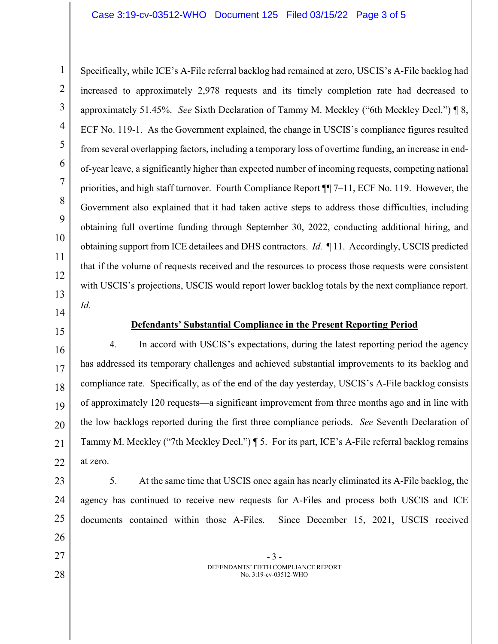1 2 3 4 5 6 7 8 9 10 11 12 13 Specifically, while ICE's A-File referral backlog had remained at zero, USCIS's A-File backlog had increased to approximately 2,978 requests and its timely completion rate had decreased to approximately 51.45%. *See* Sixth Declaration of Tammy M. Meckley ("6th Meckley Decl.") ¶ 8, ECF No. 119-1. As the Government explained, the change in USCIS's compliance figures resulted from several overlapping factors, including a temporary loss of overtime funding, an increase in endof-year leave, a significantly higher than expected number of incoming requests, competing national priorities, and high staff turnover. Fourth Compliance Report ¶¶ 7–11, ECF No. 119. However, the Government also explained that it had taken active steps to address those difficulties, including obtaining full overtime funding through September 30, 2022, conducting additional hiring, and obtaining support from ICE detailees and DHS contractors. *Id.* ¶ 11. Accordingly, USCIS predicted that if the volume of requests received and the resources to process those requests were consistent with USCIS's projections, USCIS would report lower backlog totals by the next compliance report. *Id.*

14 15

23

24

25

26

27

28

## **Defendants' Substantial Compliance in the Present Reporting Period**

16 17 18 19 20 21 22 4. In accord with USCIS's expectations, during the latest reporting period the agency has addressed its temporary challenges and achieved substantial improvements to its backlog and compliance rate. Specifically, as of the end of the day yesterday, USCIS's A-File backlog consists of approximately 120 requests—a significant improvement from three months ago and in line with the low backlogs reported during the first three compliance periods. *See* Seventh Declaration of Tammy M. Meckley ("7th Meckley Decl.") ¶ 5. For its part, ICE's A-File referral backlog remains at zero.

- 5. At the same time that USCIS once again has nearly eliminated its A-File backlog, the agency has continued to receive new requests for A-Files and process both USCIS and ICE documents contained within those A-Files. Since December 15, 2021, USCIS received
	- 3 DEFENDANTS' FIFTH COMPLIANCE REPORT No. 3:19-cv-03512-WHO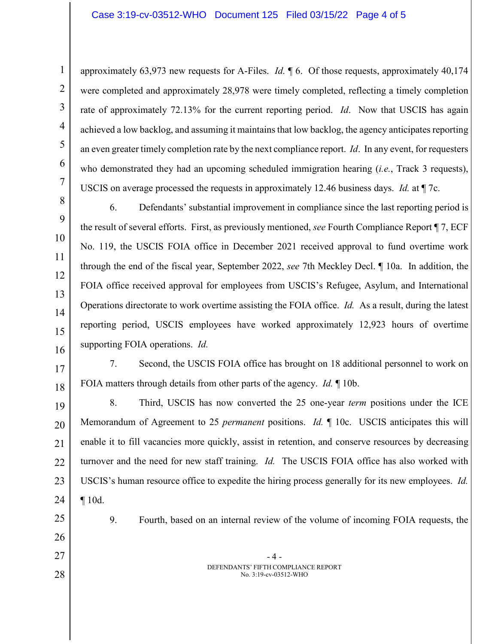approximately 63,973 new requests for A-Files. *Id.* ¶ 6. Of those requests, approximately 40,174 were completed and approximately 28,978 were timely completed, reflecting a timely completion rate of approximately 72.13% for the current reporting period. *Id*. Now that USCIS has again achieved a low backlog, and assuming it maintains that low backlog, the agency anticipates reporting an even greater timely completion rate by the next compliance report. *Id*. In any event, for requesters who demonstrated they had an upcoming scheduled immigration hearing (*i.e.*, Track 3 requests), USCIS on average processed the requests in approximately 12.46 business days. *Id.* at ¶ 7c.

8 9 10 11 12 13 14 15 16 6. Defendants' substantial improvement in compliance since the last reporting period is the result of several efforts. First, as previously mentioned, *see* Fourth Compliance Report ¶ 7, ECF No. 119, the USCIS FOIA office in December 2021 received approval to fund overtime work through the end of the fiscal year, September 2022, *see* 7th Meckley Decl. ¶ 10a. In addition, the FOIA office received approval for employees from USCIS's Refugee, Asylum, and International Operations directorate to work overtime assisting the FOIA office. *Id.* As a result, during the latest reporting period, USCIS employees have worked approximately 12,923 hours of overtime supporting FOIA operations. *Id.* 

17 18 7. Second, the USCIS FOIA office has brought on 18 additional personnel to work on FOIA matters through details from other parts of the agency. *Id.* ¶ 10b.

19 20 21 22 23 24 8. Third, USCIS has now converted the 25 one-year *term* positions under the ICE Memorandum of Agreement to 25 *permanent* positions. *Id.* ¶ 10c. USCIS anticipates this will enable it to fill vacancies more quickly, assist in retention, and conserve resources by decreasing turnover and the need for new staff training. *Id.* The USCIS FOIA office has also worked with USCIS's human resource office to expedite the hiring process generally for its new employees. *Id.*  ¶ 10d.

25

1

2

3

4

5

6

7

26 27

28

9. Fourth, based on an internal review of the volume of incoming FOIA requests, the

- 4 - DEFENDANTS' FIFTH COMPLIANCE REPORT No. 3:19-cv-03512-WHO